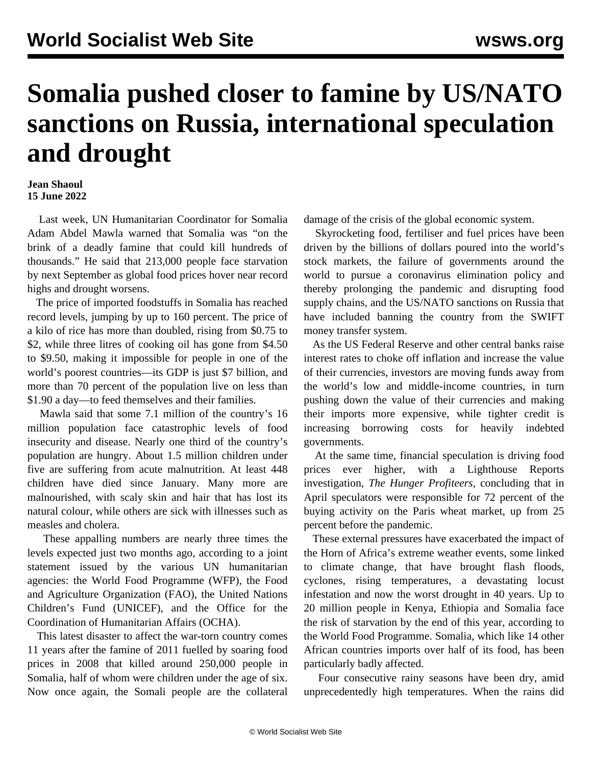## **Somalia pushed closer to famine by US/NATO sanctions on Russia, international speculation and drought**

## **Jean Shaoul 15 June 2022**

 Last week, UN Humanitarian Coordinator for Somalia Adam Abdel Mawla warned that Somalia was "on the brink of a deadly famine that could kill hundreds of thousands." He said that 213,000 people face starvation by next September as global food prices hover near record highs and drought worsens.

 The price of imported foodstuffs in Somalia has reached record levels, jumping by up to 160 percent. The price of a kilo of rice has more than doubled, rising from \$0.75 to \$2, while three litres of cooking oil has gone from \$4.50 to \$9.50, making it impossible for people in one of the world's poorest countries—its GDP is just \$7 billion, and more than 70 percent of the population live on less than \$1.90 a day—to feed themselves and their families.

 Mawla said that some 7.1 million of the country's 16 million population face catastrophic levels of food insecurity and disease. Nearly one third of the country's population are hungry. About 1.5 million children under five are suffering from acute malnutrition. At least 448 children have died since January. Many more are malnourished, with scaly skin and hair that has lost its natural colour, while others are sick with illnesses such as measles and cholera.

 These appalling numbers are nearly three times the levels expected just two months ago, according to a joint statement issued by the various UN humanitarian agencies: the World Food Programme (WFP), the Food and Agriculture Organization (FAO), the United Nations Children's Fund (UNICEF), and the Office for the Coordination of Humanitarian Affairs (OCHA).

 This latest disaster to affect the war-torn country comes 11 years after the famine of 2011 fuelled by soaring food prices in 2008 that killed around 250,000 people in Somalia, half of whom were children under the age of six. Now once again, the Somali people are the collateral damage of the crisis of the global economic system.

 Skyrocketing food, fertiliser and fuel prices have been driven by the billions of dollars poured into the world's stock markets, the failure of governments around the world to pursue a coronavirus elimination policy and thereby prolonging the pandemic and disrupting food supply chains, and the US/NATO sanctions on Russia that have included banning the country from the SWIFT money transfer system.

 As the US Federal Reserve and other central banks raise interest rates to choke off inflation and increase the value of their currencies, investors are moving funds away from the world's low and middle-income countries, in turn pushing down the value of their currencies and making their imports more expensive, while tighter credit is increasing borrowing costs for heavily indebted governments.

 At the same time, financial speculation is driving food prices ever higher, with a Lighthouse Reports investigation, *The Hunger Profiteers,* concluding that in April speculators were responsible for 72 percent of the buying activity on the Paris wheat market, up from 25 percent before the pandemic.

 These external pressures have exacerbated the impact of the Horn of Africa's extreme weather events, some linked to climate change, that have brought flash floods, cyclones, rising temperatures, a devastating locust infestation and now the worst drought in 40 years. Up to 20 million people in Kenya, Ethiopia and Somalia face the risk of starvation by the end of this year, according to the World Food Programme. Somalia, which like 14 other African countries imports over half of its food, has been particularly badly affected.

 Four consecutive rainy seasons have been dry, amid unprecedentedly high temperatures. When the rains did